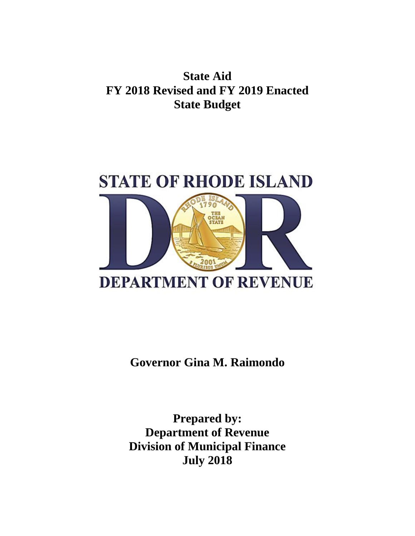**State Aid FY 2018 Revised and FY 2019 Enacted State Budget**



**Governor Gina M. Raimondo**

**Prepared by: Department of Revenue Division of Municipal Finance July 2018**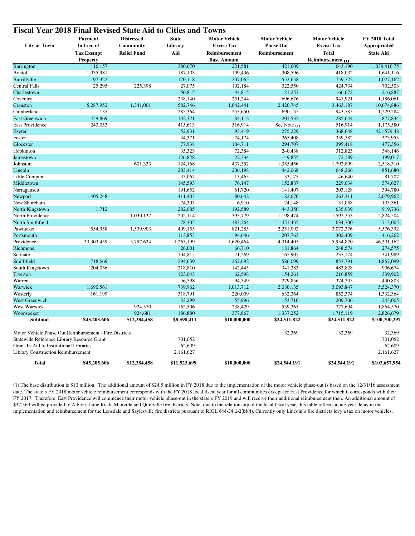| <b>City or Town</b>                                    | Payment<br>In Lieu of | <b>Distressed</b><br>Community | <b>State</b><br>Library<br>Aid | <b>Motor Vehicle</b><br><b>Excise Tax</b> | <b>Motor Vehicle</b><br><b>Phase Out</b> | <b>Motor Vehicle</b><br><b>Excise Tax</b> | FY 2018 Total<br>Appropriated<br><b>State Aid</b> |
|--------------------------------------------------------|-----------------------|--------------------------------|--------------------------------|-------------------------------------------|------------------------------------------|-------------------------------------------|---------------------------------------------------|
|                                                        | <b>Tax Exempt</b>     | <b>Relief Fund</b>             |                                | Reimbursement                             | Reimbursement                            | <b>Total</b>                              |                                                   |
|                                                        | <b>Property</b>       |                                |                                | <b>Base Amount</b>                        |                                          | Reimbursement (1)                         |                                                   |
| Barrington                                             | 16,157                |                                | 380,070                        | 221,581                                   | 421,609                                  | 643,190                                   | 1,039,416.75                                      |
| <b>Bristol</b>                                         | 1,035,981             |                                | 187,103                        | 109,436                                   | 308,596                                  | 418,032                                   | 1,641,116                                         |
| Burrillville                                           | 97,322                |                                | 170,118                        | 207,065                                   | 552,658                                  | 759,722                                   | 1,027,162                                         |
| <b>Central Falls</b>                                   | 25,295                | 225,398                        | 27,075                         | 102,184                                   | 322,550                                  | 424,734                                   | 702,503                                           |
| Charlestown                                            |                       |                                | 50,815                         | 44.815                                    | 121,257                                  | 166,072                                   | 216,887                                           |
| Coventry                                               |                       |                                | 238,140                        | 251,244                                   | 696,676                                  | 947,921                                   | 1,186,061                                         |
| Cranston                                               | 5,287,952             | 1,341,001                      | 582,746                        | 1,042,441                                 | 2,420,745                                | 3,463,187                                 | 10,674,886                                        |
| Cumberland                                             | 135                   |                                | 285,364                        | 253,650                                   | 690,135                                  | 943,785                                   | 1,229,284                                         |
| East Greenwich                                         | 459,869               |                                | 132,321                        | 84,112                                    | 201,532                                  | 285,644                                   | 877,834                                           |
| East Providence                                        | 243,053               |                                | 415,613                        | 516,914                                   | See Note $(1)$                           | 516,914                                   | 1,175,580                                         |
| Exeter                                                 |                       |                                | 52,931                         | 93,419                                    | 275,229                                  | 368,648                                   | 421,579.48                                        |
| Foster                                                 |                       |                                | 34,371                         | 74.174                                    | 265,408                                  | 339.582                                   | 373,953                                           |
| Glocester                                              |                       |                                | 77,938                         | 104,711                                   | 294,707                                  | 399,418                                   | 477,356                                           |
| Hopkinton                                              |                       |                                | 35,323                         | 72,384                                    | 240,438                                  | 312,823                                   | 348,146                                           |
| Jamestown                                              |                       |                                | 126,828                        | 22,334                                    | 49,855                                   | 72,189                                    | 199,017                                           |
| Johnston                                               |                       | 601,333                        | 124,168                        | 437,352                                   | 1,355,456                                | 1,792,809                                 | 2,518,310                                         |
| Lincoln                                                |                       |                                | 203,414                        | 206,198                                   | 442,068                                  | 648,266                                   | 851,680                                           |
| Little Compton                                         |                       |                                | 35,067                         | 13,465                                    | 33,175                                   | 46,640                                    | 81,707                                            |
| Middletown                                             |                       |                                | 145,593                        | 76,147                                    | 152,887                                  | 229,034                                   | 374,627                                           |
| Narragansett                                           |                       |                                | 191,652                        | 61,720                                    | 141,407                                  | 203,128                                   | 394,780                                           |
| Newport                                                | 1,405,248             |                                | 411,403                        | 80,642                                    | 182,670                                  | 263,311                                   | 2,079,962                                         |
| New Shoreham                                           |                       |                                | 74,303                         | 6,910                                     | 24,148                                   | 31,058                                    | 105,361                                           |
| North Kingstown                                        | 1,712                 |                                | 282,085                        | 192,589                                   | 443,350                                  | 635,939                                   | 919,736                                           |
| North Providence                                       |                       | 1,030,137                      | 202,114                        | 393,779                                   | 1,198,474                                | 1,592,253                                 | 2,824,504                                         |
| North Smithfield                                       |                       |                                | 78,305                         | 183,264                                   | 451,435                                  | 634,700                                   | 713,005                                           |
| Pawtucket                                              | 554,958               | 1,539,903                      | 409,155                        | 821,285                                   | 2,251,092                                | 3,072,376                                 | 5,576,392                                         |
| Portsmouth                                             |                       |                                | 113,853                        | 94,646                                    | 207,763                                  | 302,409                                   | 416,262                                           |
| Providence                                             | 33,303,459            | 5,797,634                      | 1,265,199                      | 1,620,464                                 | 4,314,405                                | 5,934,870                                 | 46,301,162                                        |
| Richmond                                               |                       |                                | 26,001                         | 66,710                                    | 181,864                                  | 248,574                                   | 274,575                                           |
| Scituate                                               |                       |                                | 104,815                        | 71,269                                    | 165,905                                  | 237,174                                   | 341,989                                           |
| Smithfield                                             | 718,669               |                                | 294,639                        | 267,692                                   | 586,099                                  | 853,791                                   | 1,867,099                                         |
| South Kingstown                                        | 204,036               |                                | 218,810                        | 142,445                                   | 341,383                                  | 483,828                                   | 906,674                                           |
| Tiverton                                               |                       |                                | 123,043                        | 62,598                                    | 154,261                                  | 216,859                                   | 339,902                                           |
| Warren                                                 |                       |                                | 56,598                         | 94,349                                    | 279,856                                  | 374,205                                   | 430,803                                           |
| Warwick                                                | 1,690,561             |                                | 739,962                        | 1,013,712                                 | 2,080,135                                | 3,093,847                                 | 5,524,370                                         |
| Westerly                                               | 161.199               |                                | 318,791                        | 220,009                                   | 632,364                                  | 852,374                                   | 1,332,364                                         |
| <b>West Greenwich</b>                                  |                       |                                | 33,299                         | 55,996                                    | 153,710                                  | 209,706                                   | 243,005                                           |
| West Warwick                                           |                       | 924,370                        |                                | 238,429                                   |                                          | 777,694                                   |                                                   |
| Woonsocket                                             |                       | 924,681                        | 162,506<br>186,880             | 377,867                                   | 539,265<br>1,337,252                     | 1,715,119                                 | 1,864,570<br>2,826,679                            |
|                                                        |                       |                                |                                |                                           |                                          |                                           |                                                   |
| Subtotal                                               | \$45,205,606          | \$12,384,458                   | \$8,598,411                    | \$10,000,000                              | \$24,511,822                             | \$34,511,822                              | \$100,700,297                                     |
| Motor Vehicle Phase Out Reimbursement - Fire Districts |                       |                                |                                |                                           | 32,369                                   | 32,369                                    | 32,369                                            |
| Statewide Reference Library Resource Grant             |                       |                                | 701,052                        |                                           |                                          |                                           | 701,052                                           |
| Grant-In-Aid to Institutional Libraries                |                       |                                | 62,609                         |                                           |                                          |                                           | 62,609                                            |
| <b>Library Construction Reimbursement</b>              |                       |                                | 2,161,627                      |                                           |                                          |                                           | 2,161,627                                         |
| <b>Total</b>                                           | \$45,205,606          | \$12,384,458                   | \$11,523,699                   | \$10,000,000                              | \$24,544,191                             | \$34,544,191                              | \$103,657,954                                     |

(1) The base distribution is \$10 million. The additional amount of \$24.5 million in FY 2018 due to the implementation of the motor vehicle phase-out is based on the 12/31/16 assessment date. The state's FY 2018 motor vehicle reimbursement corresponds with the FY 2018 local fiscal year for all communities except for East Providence for which it corresponds with their FY 2017. Therefore, East Providence will commence their motor vehicle phase-out in the state's FY 2019 and will receive their additional reimbursement then. An additional amount of \$32,369 will be provided to Albion, Lime Rock, Manville and Quinville fire districts. Note, due to the relationship of the local fiscal year, this table reflects a one-year delay in the implementation and reimbursement for the Lonsdale and Saylesville fire districts pursuant to RIGL §44-34.1-2(b)(4). Currently only Lincoln's fire districts levy a tax on motor vehicles.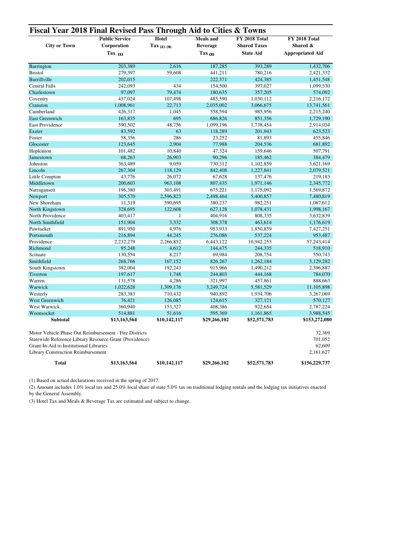|                                           | <b>Public Service</b>                                   | Hotel                 | <b>Meals</b> and   | FY 2018 Total       | <b>FY 2018 Total</b><br>Shared &<br><b>Appropriated Aid</b> |  |
|-------------------------------------------|---------------------------------------------------------|-----------------------|--------------------|---------------------|-------------------------------------------------------------|--|
| <b>City or Town</b>                       | Corporation                                             | $\text{Tax}_{(2)(3)}$ | <b>Beverage</b>    | <b>Shared Taxes</b> |                                                             |  |
|                                           | Tax $_{(1)}$                                            |                       | $\text{Tax}_{(3)}$ | <b>State Aid</b>    |                                                             |  |
| Barrington                                | 203,389                                                 | 2.616                 | 187,285            | 393,289             | 1,432,706                                                   |  |
| <b>Bristol</b>                            | 279,397                                                 | 59,608                | 441,211            | 780,216             | 2,421,332                                                   |  |
| Burrillville                              | 202,015                                                 |                       | 222,371            | 424,385             | 1,451,548                                                   |  |
| <b>Central Falls</b>                      | 242,093                                                 | 434                   | 154,500            | 397,027             | 1,099,530                                                   |  |
| Charlestown                               | 97,097                                                  | 79,474                | 180,635            | 357,205             | 574,092                                                     |  |
| Coventry                                  | 437,024                                                 | 107,498               | 485,590            | 1,030,112           | 2,216,172                                                   |  |
| Cranston                                  | 1,008,961                                               | 22,713                | 2,035,002          | 3,066,675           | 13,741,561                                                  |  |
| Cumberland                                | 426,317                                                 | 1,045                 | 558,594            | 985,956             | 2,215,240                                                   |  |
| <b>East Greenwich</b>                     | 163,835                                                 | 695                   | 686,826            | 851,356             | 1,729,190                                                   |  |
| <b>East Providence</b>                    | 590,502                                                 | 48,756                | 1,099,196          | 1,738,454           | 2,914,034                                                   |  |
| Exeter                                    | 83,592                                                  | 63                    | 118,289            | 201,943             | 623,523                                                     |  |
| Foster                                    | 58,356                                                  | 286                   | 23,252             | 81,893              | 455,846                                                     |  |
| Glocester                                 | 123,645                                                 | 2,904                 | 77,988             | 204,536             | 681,892                                                     |  |
| Hopkinton                                 | 101,482                                                 | 10,840                | 47,324             | 159,646             | 507,791                                                     |  |
| Jamestown                                 | 68,263                                                  | 26,903                | 90,296             | 185,462             | 384,479                                                     |  |
| Johnston                                  | 363,489                                                 | 9,059                 | 730,312            | 1,102,859           | 3,621,169                                                   |  |
| Lincoln                                   | 267,304                                                 | 118,129               | 842,408            | 1,227,841           | 2,079,521                                                   |  |
| Little Compton                            | 43,776                                                  | 26,072                | 67,628             | 137,476             | 219,183                                                     |  |
| Middletown                                | 200,603                                                 | 963,108               | 807,435            | 1,971,146           | 2,345,772                                                   |  |
| Narragansett                              | 196,380                                                 | 303,491               | 675,221            | 1,175,092           | 1,569,872                                                   |  |
| Newport                                   | 305,570                                                 | 2,596,823             | 2,498,464          | 5,400,857           | 7,480,819                                                   |  |
| New Shoreham                              | 11,319                                                  | 590,695               | 380,237            | 982,251             | 1,087,612                                                   |  |
| North Kingstown                           | 328,695                                                 | 122,608               | 627,128            | 1,078,431           | 1,998,167                                                   |  |
| North Providence                          | 403,417                                                 | 1                     | 404,916            | 808,335             | 3,632,839                                                   |  |
| North Smithfield                          | 151,904                                                 | 3,332                 | 308,378            | 463,614             | 1,176,619                                                   |  |
| Pawtucket                                 | 891,950                                                 | 4,976                 | 953,933            | 1,850,859           | 7,427,251                                                   |  |
| Portsmouth                                | 216,894                                                 | 44,245                | 276,086            | 537,224             | 953,487                                                     |  |
| Providence                                | 2,232,279                                               | 2,266,852             | 6,443,122          | 10,942,253          | 57,243,414                                                  |  |
| Richmond                                  | 95,248                                                  | 4,612                 | 144,475            | 244,335             | 518,910                                                     |  |
| Scituate                                  | 130,554                                                 | 8,217                 | 69,984             | 208,754             | 550,743                                                     |  |
| Smithfield                                | 268,766                                                 | 167,152               | 826,267            | 1,262,184           | 3,129,282                                                   |  |
| South Kingstown                           | 382,004                                                 | 192,243               | 915,966            | 1,490,212           | 2,396,887                                                   |  |
| Tiverton                                  | 197,617                                                 | 1,748                 | 244,803            | 444,168             | 784,070                                                     |  |
| Warren                                    | 131,578                                                 | 4,286                 | 321,997            | 457,861             | 888,663                                                     |  |
| Warwick                                   | 1,022,628                                               | 1,309,176             | 3,249,724          | 5,581,529           | 11,105,898                                                  |  |
| Westerly                                  | 283,383                                                 | 710,432               | 940,892            | 1,934,706           | 3,267,069                                                   |  |
| West Greenwich                            | 76,421                                                  | 126,085               | 124,615            | 327,121             | 570,127                                                     |  |
| West Warwick                              | 360,940                                                 | 153,327               | 408,386            | 922,654             | 2,787,224                                                   |  |
| Woonsocket                                | 514,881                                                 | 51,616                | 595,369            | 1,161,865           | 3,988,545                                                   |  |
| <b>Subtotal</b>                           | \$13,163,564                                            | \$10,142,117          | \$29,266,102       | \$52,571,783        | \$153,272,080                                               |  |
|                                           | Motor Vehicle Phase Out Reimbursement - Fire Districts  |                       |                    |                     | 32,369                                                      |  |
|                                           | Statewide Reference Library Resource Grant (Providence) |                       |                    |                     | 701,052                                                     |  |
| Grant-In-Aid to Institutional Libraries   |                                                         |                       |                    |                     | 62,609                                                      |  |
| <b>Library Construction Reimbursement</b> |                                                         |                       |                    |                     | 2,161,627                                                   |  |
|                                           |                                                         |                       |                    |                     |                                                             |  |
| <b>Total</b>                              | \$13,163,564                                            | \$10,142,117          | \$29,266,102       | \$52,571,783        | \$156,229,737                                               |  |

(1) Based on actual declarations received in the spring of 2017.

(2) Amount includes 1.0% local tax and 25.0% local share of state 5.0% tax on traditional lodging rentals and the lodging tax initiatives enacted by the General Assembly.

(3) Hotel Tax and Meals & Beverage Tax are estimated and subject to change.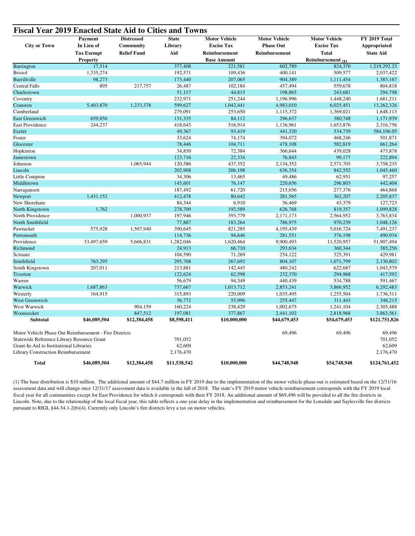| <b>City or Town</b>                                    | Payment<br>In Lieu of | <b>Distressed</b><br>Community | <b>State</b><br>Library | <b>Motor Vehicle</b><br><b>Excise Tax</b> | <b>Motor Vehicle</b><br><b>Phase Out</b> | <b>Motor Vehicle</b><br><b>Excise Tax</b> | FY 2019 Total<br>Appropriated |
|--------------------------------------------------------|-----------------------|--------------------------------|-------------------------|-------------------------------------------|------------------------------------------|-------------------------------------------|-------------------------------|
|                                                        | <b>Tax Exempt</b>     | <b>Relief Fund</b>             | Aid                     | Reimbursement                             | Reimbursement                            | <b>Total</b>                              | <b>State Aid</b>              |
|                                                        | <b>Property</b>       |                                |                         | <b>Base Amount</b>                        |                                          | Reimbursement (1)                         |                               |
| Barrington                                             | 17,514                |                                | 377,408                 | 221,581                                   | 602,789                                  | 824,370                                   | 1,219,292.23                  |
| <b>Bristol</b>                                         | 1,335,274             |                                | 192,571                 | 109,436                                   | 400.141                                  | 509,577                                   | 2,037,422                     |
| Burrillville                                           | 98,273                |                                | 173,440                 | 207,065                                   | 904,389                                  | 1,111,454                                 | 1,383,167                     |
| <b>Central Falls</b>                                   | 895                   | 217,757                        | 26,487                  | 102,184                                   | 457,494                                  | 559,678                                   | 804,818                       |
| Charlestown                                            |                       |                                | 51,117                  | 44,815                                    | 198,865                                  | 243,681                                   | 294,798                       |
| Coventry                                               |                       |                                | 232,971                 | 251,244                                   | 1,196,996                                | 1,448,240                                 | 1,681,211                     |
| Cranston                                               | 5,403,870             | 1,233,378                      | 599,627                 | 1,042,441                                 | 4,983,010                                | 6,025,451                                 | 13,262,326                    |
| Cumberland                                             |                       |                                | 279,091                 | 253,650                                   | 1,115,372                                | 1,369,021                                 | 1,648,113                     |
| <b>East Greenwich</b>                                  | 659,856               |                                | 131,335                 | 84,112                                    | 296,637                                  | 380,748                                   | 1,171,939                     |
| East Providence                                        | 244,237               |                                | 418,643                 | 516,914                                   | 1,136,961                                | 1,653,876                                 | 2,316,756                     |
| Exeter                                                 |                       |                                | 49,367                  | 93,419                                    | 441,320                                  | 534,739                                   | 584,106.05                    |
| Foster                                                 |                       |                                | 33,624                  | 74,174                                    | 394,072                                  | 468,246                                   | 501,871                       |
| Glocester                                              |                       |                                | 78,446                  | 104,711                                   | 478,108                                  | 582,819                                   | 661,264                       |
| Hopkinton                                              |                       |                                | 34,850                  | 72,384                                    | 366,644                                  | 439,028                                   | 473,878                       |
| Jamestown                                              |                       |                                | 123,716                 | 22,334                                    | 76,843                                   | 99,177                                    | 222,894                       |
| Johnston                                               |                       | 1,065,944                      | 120,586                 | 437,352                                   | 2,134,352                                | 2,571,705                                 | 3,758,235                     |
| Lincoln                                                |                       |                                | 202,908                 | 206,198                                   | 636,354                                  | 842,552                                   | 1,045,460                     |
| Little Compton                                         |                       |                                | 34,306                  | 13,465                                    | 49,486                                   | 62,951                                    | 97,257                        |
| Middletown                                             |                       |                                | 145,601                 | 76,147                                    | 220,656                                  | 296,803                                   | 442,404                       |
| Narragansett                                           |                       |                                | 187,492                 | 61,720                                    | 215,656                                  | 277,376                                   | 464,868                       |
| Newport                                                | 1,431,152             |                                | 412,478                 | 80,642                                    | 281,565                                  | 362,207                                   | 2,205,837                     |
| New Shoreham                                           |                       |                                | 84,344                  | 6,910                                     | 36,469                                   | 43,379                                    | 127,723                       |
| North Kingstown                                        | 1,762                 |                                | 278,709                 | 192,589                                   | 626,768                                  | 819,357                                   | 1,099,828                     |
| North Providence                                       |                       | 1.000.937                      | 197,946                 | 393,779                                   | 2,171,173                                | 2,564,952                                 | 3,763,834                     |
| North Smithfield                                       |                       |                                | 77,887                  | 183,264                                   | 786,975                                  | 970,239                                   | 1,048,126                     |
| Pawtucket                                              | 575,928               | 1,507,940                      | 390,645                 | 821,285                                   | 4,195,439                                | 5,016,724                                 | 7,491,237                     |
| Portsmouth                                             |                       |                                | 114,736                 | 94,646                                    | 281,551                                  | 376,198                                   | 490,934                       |
| Providence                                             | 33,497,659            | 5,606,831                      | 1,282,046               |                                           | 9,900,493                                | 11,520,957                                | 51,907,494                    |
| Richmond                                               |                       |                                | 24,913                  | 1,620,464<br>66,710                       | 293,634                                  | 360,344                                   | 385,256                       |
| Scituate                                               |                       |                                |                         | 71,269                                    |                                          |                                           | 429,981                       |
| Smithfield                                             | 763,295               |                                | 104,590<br>295,708      | 267,692                                   | 254,122<br>804,107                       | 325,391<br>1,071,799                      | 2,130,802                     |
|                                                        | 207,011               |                                | 213,881                 | 142,445                                   | 480,242                                  | 622,687                                   | 1,043,579                     |
| South Kingstown                                        |                       |                                | 122,624                 |                                           |                                          | 294,968                                   | 417,592                       |
| Tiverton<br>Warren                                     |                       |                                | 56,679                  | 62,598<br>94,349                          | 232,370<br>440,439                       | 534,788                                   | 591,467                       |
|                                                        | 1,687,863             |                                |                         |                                           |                                          |                                           |                               |
| Warwick                                                | 164,915               |                                | 737,667                 | 1,013,712                                 | 2,853,241                                | 3,866,952                                 | 6,292,483                     |
| Westerly                                               |                       |                                | 315,893                 | 220,009                                   | 1,035,495                                | 1,255,504                                 | 1,736,311                     |
| West Greenwich                                         |                       |                                | 36,772                  | 55,996                                    | 255,447                                  | 311,443                                   | 348,215                       |
| West Warwick                                           |                       | 904,159                        | 160,224                 | 238,429                                   | 1,002,675                                | 1,241,104                                 | 2,305,488                     |
| Woonsocket                                             |                       | 847,512                        | 197,081                 | 377,867                                   | 2,441,102                                | 2,818,968                                 | 3,863,561                     |
| Subtotal                                               | \$46,089,504          | \$12,384,458                   | \$8,598,411             | \$10,000,000                              | \$44,679,453                             | \$54,679,453                              | \$121,751,826                 |
| Motor Vehicle Phase Out Reimbursement - Fire Districts |                       |                                |                         |                                           | 69,496                                   | 69,496                                    | 69,496                        |
| Statewide Reference Library Resource Grant             |                       |                                | 701,052                 |                                           |                                          |                                           | 701,052                       |
| Grant-In-Aid to Institutional Libraries                |                       |                                | 62,609                  |                                           |                                          |                                           | 62,609                        |
| <b>Library Construction Reimbursement</b>              |                       |                                | 2,176,470               |                                           |                                          |                                           | 2,176,470                     |
| <b>Total</b>                                           | \$46,089,504          | \$12,384,458                   | \$11,538,542            | \$10,000,000                              | \$44,748,948                             | \$54,748,948                              | \$124,761,452                 |

(1) The base distribution is \$10 million. The additional amount of \$44.7 million in FY 2019 due to the implementation of the motor vehicle phase-out is estimated based on the 12/31/16 assessment data and will change once 12/31/17 assessment data is available in the fall of 2018. The state's FY 2019 motor vehicle reimbursement corresponds with the FY 2019 local fiscal year for all communities except for East Providence for which it corresponds with their FY 2018. An additional amount of \$69,496 will be provided to all the fire districts in Lincoln. Note, due to the relationship of the local fiscal year, this table reflects a one-year delay in the implementation and reimbursement for the Lonsdale and Saylesville fire districts pursuant to RIGL §44-34.1-2(b)(4). Currently only Lincoln's fire districts levy a tax on motor vehicles.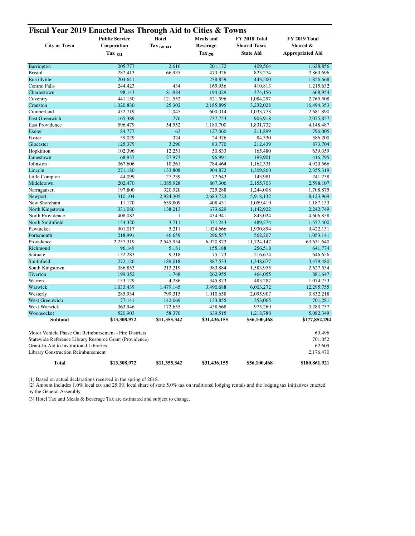| Corporation                                                                                                                                                                                               | <b>Hotel</b><br>$\int \frac{1}{2} dx$ (2) (3) | <b>Meals</b> and<br><b>Beverage</b> | FY 2018 Total<br><b>Shared Taxes</b> | <b>FY 2019 Total</b><br>Shared &<br><b>Appropriated Aid</b> |  |
|-----------------------------------------------------------------------------------------------------------------------------------------------------------------------------------------------------------|-----------------------------------------------|-------------------------------------|--------------------------------------|-------------------------------------------------------------|--|
| Tax $(1)$                                                                                                                                                                                                 |                                               | $\text{Tax}_{(3)}$                  | <b>State Aid</b>                     |                                                             |  |
| 205,777                                                                                                                                                                                                   | 2.616                                         | 201,172                             | 409.564                              | 1,628,856                                                   |  |
| 282,413                                                                                                                                                                                                   | 66,935                                        | 473,926                             | 823,274                              | 2,860,696                                                   |  |
| 204.641                                                                                                                                                                                                   | L,                                            | 238,859                             | 443,500                              | 1,826,668                                                   |  |
| 244,423                                                                                                                                                                                                   | 434                                           | 165,956                             | 410,813                              | 1,215,632                                                   |  |
| 98,143                                                                                                                                                                                                    | 81,984                                        | 194,029                             | 374,156                              | 668,954                                                     |  |
| 441.150                                                                                                                                                                                                   | 121,552                                       | 521,596                             | 1,084,297                            | 2,765,508                                                   |  |
| 1,020,830                                                                                                                                                                                                 | 25,302                                        | 2,185,895                           | 3,232,028                            | 16,494,353                                                  |  |
| 432,719                                                                                                                                                                                                   | 1,045                                         | 600,014                             | 1,033,778                            | 2,681,890                                                   |  |
| 165,389                                                                                                                                                                                                   | 776                                           | 737,753                             | 903,918                              | 2,075,857                                                   |  |
| 596,479                                                                                                                                                                                                   | 54,552                                        | 1,180,700                           | 1,831,732                            | 4,148,487                                                   |  |
| 84,777                                                                                                                                                                                                    | 63                                            | 127,060                             | 211,899                              | 796,005                                                     |  |
| 59,029                                                                                                                                                                                                    | 324                                           | 24,976                              | 84,330                               | 586,200                                                     |  |
| 125,379                                                                                                                                                                                                   | 3,290                                         | 83,770                              | 212,439                              | 873,704                                                     |  |
| 102,396                                                                                                                                                                                                   | 12,251                                        | 50,833                              | 165,480                              | 639,359                                                     |  |
| 68,937                                                                                                                                                                                                    | 27,973                                        | 96,991                              | 193,901                              | 416,795                                                     |  |
| 367,606                                                                                                                                                                                                   | 10,261                                        | 784,464                             | 1,162,331                            | 4,920,566                                                   |  |
| 271,180                                                                                                                                                                                                   | 133,808                                       | 904,872                             | 1,309,860                            | 2,355,319                                                   |  |
| 44.099                                                                                                                                                                                                    | 27,239                                        | 72,643                              | 143,981                              | 241,238                                                     |  |
| 202,470                                                                                                                                                                                                   | 1,085,928                                     | 867,306                             | 2,155,703                            | 2,598,107                                                   |  |
| 197,800                                                                                                                                                                                                   | 320,920                                       | 725,288                             | 1,244,008                            | 1,708,875                                                   |  |
| 310,104                                                                                                                                                                                                   | 2,924,305                                     | 2,683,723                           | 5,918,132                            | 8,123,969                                                   |  |
| 11,170                                                                                                                                                                                                    | 639,809                                       | 408,431                             | 1,059,410                            | 1,187,133                                                   |  |
| 331.080                                                                                                                                                                                                   | 138.213                                       | 673.629                             | 1,142,922                            | 2,242,749                                                   |  |
| 408,082                                                                                                                                                                                                   | 1                                             | 434,941                             | 843,024                              | 4,606,858                                                   |  |
| 154,320                                                                                                                                                                                                   | 3,711                                         | 331,243                             | 489,274                              | 1,537,400                                                   |  |
| 901,017                                                                                                                                                                                                   | 5,211                                         | 1,024,666                           | 1,930,894                            | 9,422,131                                                   |  |
| 218,991                                                                                                                                                                                                   | 46,659                                        | 296,557                             | 562,207                              | 1,053,141                                                   |  |
| 2,257,319                                                                                                                                                                                                 | 2,545,954                                     | 6,920,873                           | 11,724,147                           | 63,631,640                                                  |  |
| 96,149                                                                                                                                                                                                    | 5,181                                         | 155,188                             | 256,518                              | 641,774                                                     |  |
| 132,283                                                                                                                                                                                                   | 9,218                                         | 75,173                              | 216,674                              | 646,656                                                     |  |
| 272,126                                                                                                                                                                                                   | 189,018                                       | 887,533                             | 1,348,677                            | 3,479,480                                                   |  |
| 386,853                                                                                                                                                                                                   | 213,219                                       | 983,884                             | 1,583,955                            | 2,627,534                                                   |  |
| 199,352                                                                                                                                                                                                   | 1,748                                         | 262,955                             | 464,055                              | 881,647                                                     |  |
| 133,129                                                                                                                                                                                                   | 4,286                                         | 345,873                             | 483,287                              | 1,074,753                                                   |  |
| 1,033,439                                                                                                                                                                                                 | 1,479,145                                     | 3,490,688                           | 6,003,272                            | 12,295,755                                                  |  |
| 285,934                                                                                                                                                                                                   | 799,315                                       | 1,010,658                           | 2,095,907                            | 3,832,218                                                   |  |
| 77,141                                                                                                                                                                                                    | 142,069                                       | 133,855                             | 353,065                              | 701,281                                                     |  |
| 363,946                                                                                                                                                                                                   | 172,655                                       | 438,668                             | 975,269                              | 3,280,757                                                   |  |
| 520,903                                                                                                                                                                                                   | 58,370                                        | 639,515                             | 1,218,788                            | 5,082,349                                                   |  |
| \$13,308,972                                                                                                                                                                                              | \$11,355,342                                  | \$31,436,155                        | \$56,100,468                         | \$177,852,294                                               |  |
| Motor Vehicle Phase Out Reimbursement - Fire Districts<br>Statewide Reference Library Resource Grant (Providence)<br>Grant-In-Aid to Institutional Libraries<br><b>Library Construction Reimbursement</b> |                                               |                                     |                                      | 69,496<br>701,052<br>62,609<br>2,176,470                    |  |
|                                                                                                                                                                                                           | \$13,308,972                                  | \$11,355,342                        | \$31,436,155                         | \$56,100,468                                                |  |

(1) Based on actual declarations received in the spring of 2018.

(2) Amount includes 1.0% local tax and 25.0% local share of state 5.0% tax on traditional lodging rentals and the lodging tax initiatives enacted by the General Assembly.

(3) Hotel Tax and Meals & Beverage Tax are estimated and subject to change.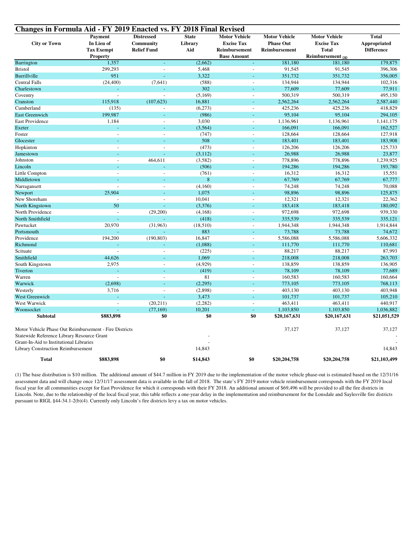| Changes in Formula Aid - FY 2019 Enacted vs. FY 2018 Final Revised                   |                   |                          |                  |                      |                      |                      |                   |  |
|--------------------------------------------------------------------------------------|-------------------|--------------------------|------------------|----------------------|----------------------|----------------------|-------------------|--|
|                                                                                      | Payment           | <b>Distressed</b>        | <b>State</b>     | <b>Motor Vehicle</b> | <b>Motor Vehicle</b> | <b>Motor Vehicle</b> | <b>Total</b>      |  |
| <b>City or Town</b>                                                                  | In Lieu of        | Community                | Library          | <b>Excise Tax</b>    | <b>Phase Out</b>     | <b>Excise Tax</b>    | Appropriated      |  |
|                                                                                      | <b>Tax Exempt</b> | <b>Relief Fund</b>       | Aid              | Reimbursement        | Reimbursement        | <b>Total</b>         | <b>Difference</b> |  |
|                                                                                      | <b>Property</b>   |                          |                  | <b>Base Amount</b>   |                      | Reimbursement (1)    |                   |  |
| Barrington                                                                           | 1,357             | L                        | (2,662)          | ÷,                   | 181,180              | 181,180              | 179,875           |  |
| <b>Bristol</b>                                                                       | 299,293           | $\overline{\phantom{a}}$ | 5,468            | L,                   | 91,545               | 91,545               | 396,306           |  |
| Burrillville                                                                         | 951               | ÷.                       | 3,322            | L.                   | 351,732              | 351,732              | 356,005           |  |
| <b>Central Falls</b>                                                                 | (24, 400)         | (7,641)                  | (588)            |                      | 134,944              | 134,944              | 102,316           |  |
| Charlestown                                                                          |                   |                          | 302              |                      | 77,609               | 77,609               | 77,911            |  |
| Coventry                                                                             | $\mathbb{Z}$      | $\overline{\phantom{a}}$ | (5,169)          | $\overline{a}$       | 500,319              | 500,319              | 495,150           |  |
| Cranston                                                                             | 115,918           | (107,623)                | 16,881           | L,                   | 2,562,264            | 2,562,264            | 2,587,440         |  |
| Cumberland                                                                           | (135)             | $\overline{a}$           | (6,273)          | L,                   | 425,236              | 425,236              | 418,829           |  |
| <b>East Greenwich</b>                                                                | 199,987           | ÷,                       | (986)            | L,                   | 95,104               | 95,104               | 294,105           |  |
| East Providence                                                                      | 1,184             | $\overline{a}$           | 3,030            | $\overline{a}$       | 1,136,961            | 1,136,961            | 1,141,175         |  |
| Exeter                                                                               |                   |                          | (3, 564)         |                      | 166,091              | 166,091              | 162,527           |  |
| Foster                                                                               | $\overline{a}$    | $\overline{\phantom{a}}$ | (747)            | $\overline{a}$       | 128,664              | 128,664              | 127,918           |  |
| Glocester                                                                            |                   |                          | 508              |                      | 183,401              | 183,401              | 183,908           |  |
| Hopkinton                                                                            | $\overline{a}$    | $\overline{a}$           | (473)            | $\overline{a}$       | 126,206              | 126,206              | 125,733           |  |
| Jamestown                                                                            |                   |                          | (3, 112)         |                      | 26,988               | 26,988               | 23,877            |  |
| Johnston                                                                             | $\overline{a}$    | 464,611                  | (3, 582)         | L,                   | 778,896              | 778,896              | 1,239,925         |  |
| Lincoln                                                                              | u                 | L                        | (506)            | L.                   | 194,286              | 194,286              | 193,780           |  |
| Little Compton                                                                       | $\overline{a}$    |                          | (761)            | $\overline{a}$       | 16,312               | 16,312               | 15,551            |  |
| Middletown                                                                           |                   |                          | $\boldsymbol{8}$ |                      | 67,769               | 67,769               | 67,777            |  |
| Narragansett                                                                         | $\overline{a}$    | $\overline{a}$           | (4,160)          | $\overline{a}$       | 74,248               | 74,248               | 70,088            |  |
| Newport                                                                              | 25,904            | L.                       | 1,075            | L,                   | 98,896               | 98,896               | 125,875           |  |
| New Shoreham                                                                         | $\overline{a}$    | $\overline{a}$           | 10,041           | L,                   | 12,321               | 12,321               | 22,362            |  |
| North Kingstown                                                                      | 50                |                          | (3,376)          |                      | 183,418              | 183,418              | 180,092           |  |
| North Providence                                                                     | $\overline{a}$    | (29,200)                 | (4,168)          | L,                   | 972,698              | 972,698              | 939,330           |  |
| North Smithfield                                                                     |                   | $\omega$                 | (418)            | L.                   | 335,539              | 335,539              | 335,121           |  |
| Pawtucket                                                                            | 20,970            | (31,963)                 | (18,510)         |                      | 1,944,348            | 1,944,348            | 1,914,844         |  |
| Portsmouth                                                                           |                   |                          | 883              |                      | 73,788               | 73,788               | 74,672            |  |
| Providence                                                                           | 194,200           | (190, 803)               | 16,847           | $\overline{a}$       | 5,586,088            | 5,586,088            | 5,606,332         |  |
| Richmond                                                                             |                   |                          | (1,088)          | L,                   | 111,770              | 111,770              | 110,681           |  |
| Scituate                                                                             |                   |                          | (225)            | L,                   | 88,217               | 88,217               | 87,993            |  |
| Smithfield                                                                           | 44,626            | L                        | 1,069            | L.                   | 218,008              | 218,008              | 263,703           |  |
| South Kingstown                                                                      | 2,975             | $\overline{a}$           | (4,929)          | $\overline{a}$       | 138,859              | 138,859              | 136,905           |  |
| Tiverton                                                                             |                   |                          | (419)            |                      | 78,109               | 78,109               | 77,689            |  |
| Warren                                                                               | $\mathcal{L}$     | $\overline{a}$           | 81               | $\overline{a}$       | 160,583              | 160,583              | 160,664           |  |
| Warwick                                                                              | (2,698)           | L                        | (2,295)          |                      | 773,105              | 773,105              | 768,113           |  |
| Westerly                                                                             | 3,716             | $\overline{a}$           | (2,898)          | L,                   | 403,130              | 403,130              | 403,948           |  |
| West Greenwich                                                                       |                   | L,                       | 3,473            | ÷,                   | 101,737              | 101,737              | 105,210           |  |
| West Warwick                                                                         | $\overline{a}$    | (20,211)                 | (2, 282)         | $\overline{a}$       | 463,411              | 463,411              | 440,917           |  |
| Woonsocket                                                                           | L.                | (77, 169)                | 10,201           | ÷.                   | 1,103,850            | 1,103,850            | 1,036,882         |  |
| <b>Subtotal</b>                                                                      | \$883,898         | \$0                      | \$0              | \$0                  | \$20,167,631         | \$20,167,631         | \$21,051,529      |  |
| Motor Vehicle Phase Out Reimbursement - Fire Districts<br>37,127<br>37,127<br>37,127 |                   |                          |                  |                      |                      |                      |                   |  |
| Statewide Reference Library Resource Grant                                           |                   |                          |                  |                      |                      |                      |                   |  |
| Grant-In-Aid to Institutional Libraries                                              |                   |                          |                  |                      |                      |                      |                   |  |
| <b>Library Construction Reimbursement</b>                                            |                   |                          | 14,843           |                      |                      |                      | 14,843            |  |
| <b>Total</b>                                                                         | \$883,898         | \$0                      | \$14,843         | \$0                  | \$20,204,758         | \$20,204,758         | \$21,103,499      |  |

(1) The base distribution is \$10 million. The additional amount of \$44.7 million in FY 2019 due to the implementation of the motor vehicle phase-out is estimated based on the 12/31/16 assessment data and will change once 12/31/17 assessment data is available in the fall of 2018. The state's FY 2019 motor vehicle reimbursement corresponds with the FY 2019 local fiscal year for all communities except for East Providence for which it corresponds with their FY 2018. An additional amount of \$69,496 will be provided to all the fire districts in Lincoln. Note, due to the relationship of the local fiscal year, this table reflects a one-year delay in the implementation and reimbursement for the Lonsdale and Saylesville fire districts pursuant to RIGL §44-34.1-2(b)(4). Currently only Lincoln's fire districts levy a tax on motor vehicles.